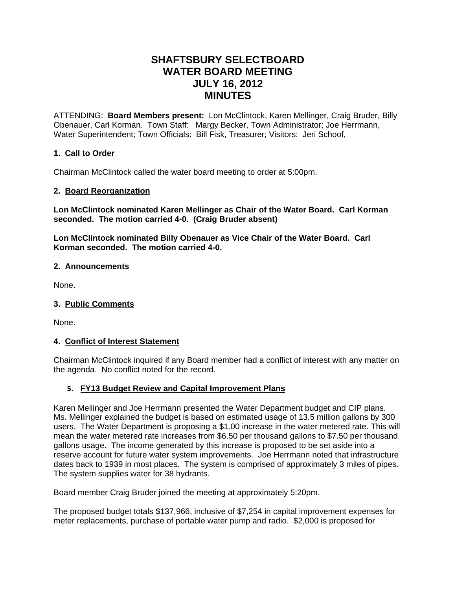# **SHAFTSBURY SELECTBOARD WATER BOARD MEETING JULY 16, 2012 MINUTES**

ATTENDING: **Board Members present:** Lon McClintock, Karen Mellinger, Craig Bruder, Billy Obenauer, Carl Korman. Town Staff: Margy Becker, Town Administrator; Joe Herrmann, Water Superintendent; Town Officials: Bill Fisk, Treasurer; Visitors: Jeri Schoof,

## **1. Call to Order**

Chairman McClintock called the water board meeting to order at 5:00pm.

### **2. Board Reorganization**

**Lon McClintock nominated Karen Mellinger as Chair of the Water Board. Carl Korman seconded. The motion carried 4-0. (Craig Bruder absent)**

**Lon McClintock nominated Billy Obenauer as Vice Chair of the Water Board. Carl Korman seconded. The motion carried 4-0.**

#### **2. Announcements**

None.

#### **3. Public Comments**

None.

#### **4. Conflict of Interest Statement**

Chairman McClintock inquired if any Board member had a conflict of interest with any matter on the agenda. No conflict noted for the record.

#### **5. FY13 Budget Review and Capital Improvement Plans**

Karen Mellinger and Joe Herrmann presented the Water Department budget and CIP plans. Ms. Mellinger explained the budget is based on estimated usage of 13.5 million gallons by 300 users. The Water Department is proposing a \$1.00 increase in the water metered rate. This will mean the water metered rate increases from \$6.50 per thousand gallons to \$7.50 per thousand gallons usage. The income generated by this increase is proposed to be set aside into a reserve account for future water system improvements. Joe Herrmann noted that infrastructure dates back to 1939 in most places. The system is comprised of approximately 3 miles of pipes. The system supplies water for 38 hydrants.

Board member Craig Bruder joined the meeting at approximately 5:20pm.

The proposed budget totals \$137,966, inclusive of \$7,254 in capital improvement expenses for meter replacements, purchase of portable water pump and radio. \$2,000 is proposed for